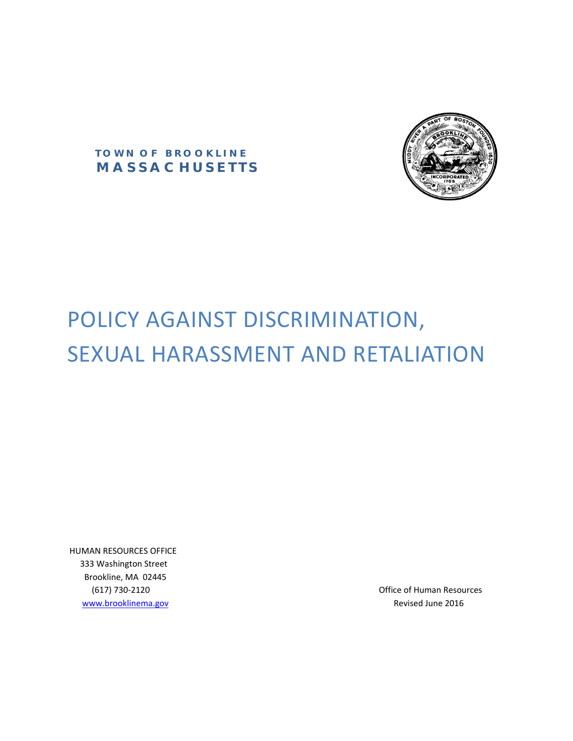

 **T O W N O F B R O O K L I N E**   *M A S S A C H U S E T T S* 

# POLICY AGAINST DISCRIMINATION, SEXUAL HARASSMENT AND RETALIATION

 HUMAN RESOURCES OFFICE 333 Washington Street Brookline, MA 02445 www.brooklinema.gov **Matter and Structure Contained According to the COS** Revised June 2016

(617) 730‐2120 Office of Human Resources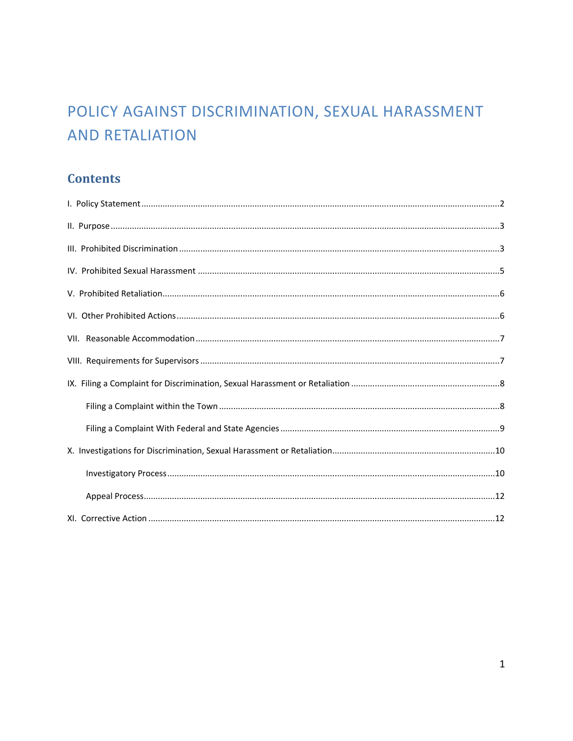## POLICY AGAINST DISCRIMINATION, SEXUAL HARASSMENT **AND RETALIATION**

## **Contents**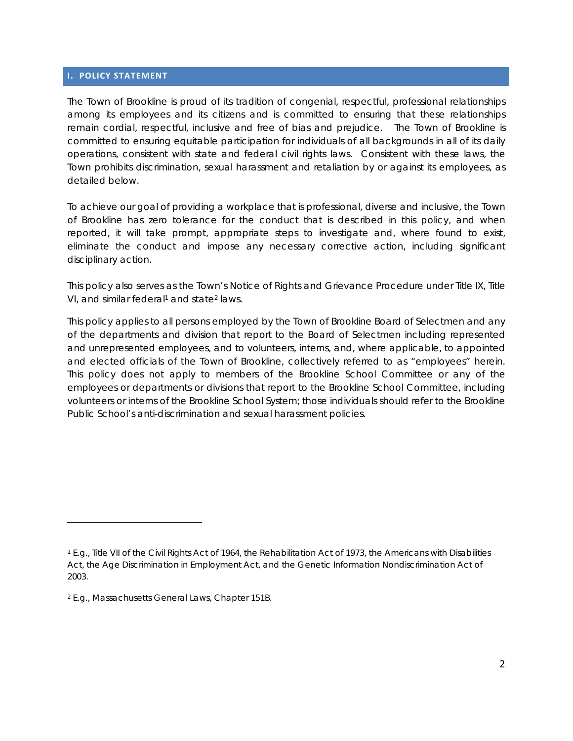#### **I. POLICY STATEMENT**

The Town of Brookline is proud of its tradition of congenial, respectful, professional relationships among its employees and its citizens and is committed to ensuring that these relationships remain cordial, respectful, inclusive and free of bias and prejudice. The Town of Brookline is committed to ensuring equitable participation for individuals of all backgrounds in all of its daily operations, consistent with state and federal civil rights laws. Consistent with these laws, the Town prohibits discrimination, sexual harassment and retaliation by or against its employees, as detailed below.

To achieve our goal of providing a workplace that is professional, diverse and inclusive, the Town of Brookline has zero tolerance for the conduct that is described in this policy, and when reported, it will take prompt, appropriate steps to investigate and, where found to exist, eliminate the conduct and impose any necessary corrective action, including significant disciplinary action.

This policy also serves as the Town's Notice of Rights and Grievance Procedure under Title IX, Title VI, and similar federal<sup>1</sup> and state<sup>2</sup> laws.

This policy applies to all persons employed by the Town of Brookline Board of Selectmen and any of the departments and division that report to the Board of Selectmen including represented and unrepresented employees, and to volunteers, interns, and, where applicable, to appointed and elected officials of the Town of Brookline, collectively referred to as "employees" herein. This policy does not apply to members of the Brookline School Committee or any of the employees or departments or divisions that report to the Brookline School Committee, including volunteers or interns of the Brookline School System; those individuals should refer to the Brookline Public School's anti-discrimination and sexual harassment policies.

<sup>1</sup> *E.g.,* Title VII of the Civil Rights Act of 1964, the Rehabilitation Act of 1973, the Americans with Disabilities Act, the Age Discrimination in Employment Act, and the Genetic Information Nondiscrimination Act of 2003.

<sup>2</sup> *E.g.,* Massachusetts General Laws, Chapter 151B.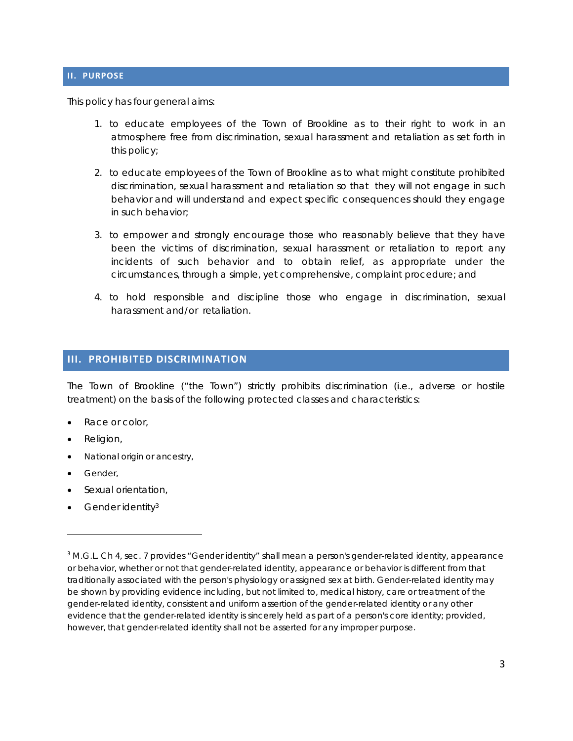#### **II. PURPOSE**

This policy has four general aims:

- 1. to educate employees of the Town of Brookline as to their right to work in an atmosphere free from discrimination, sexual harassment and retaliation as set forth in this policy;
- 2. to educate employees of the Town of Brookline as to what might constitute prohibited discrimination, sexual harassment and retaliation so that they will not engage in such behavior and will understand and expect specific consequences should they engage in such behavior;
- 3. to empower and strongly encourage those who reasonably believe that they have been the victims of discrimination, sexual harassment or retaliation to report any incidents of such behavior and to obtain relief, as appropriate under the circumstances, through a simple, yet comprehensive, complaint procedure; and
- 4. to hold responsible and discipline those who engage in discrimination, sexual harassment and/or retaliation.

#### **III. PROHIBITED DISCRIMINATION**

The Town of Brookline ("the Town") strictly prohibits discrimination (*i.e.,* adverse or hostile treatment) on the basis of the following protected classes and characteristics:

- Race or color,
- Religion,
- National origin or ancestry,

<u> 1989 - Johann Stein, marwolaethau a bhann an t-Amhair Aonaichte ann an t-Amhair Aonaichte ann an t-Amhair Aon</u>

- **•** Gender,
- Sexual orientation,
- Gender identity3

<sup>&</sup>lt;sup>3</sup> M.G.L. Ch 4, sec. 7 provides "Gender identity" shall mean a person's gender-related identity, appearance or behavior, whether or not that gender-related identity, appearance or behavior is different from that traditionally associated with the person's physiology or assigned sex at birth. Gender-related identity may be shown by providing evidence including, but not limited to, medical history, care or treatment of the gender-related identity, consistent and uniform assertion of the gender-related identity or any other evidence that the gender-related identity is sincerely held as part of a person's core identity; provided, however, that gender-related identity shall not be asserted for any improper purpose.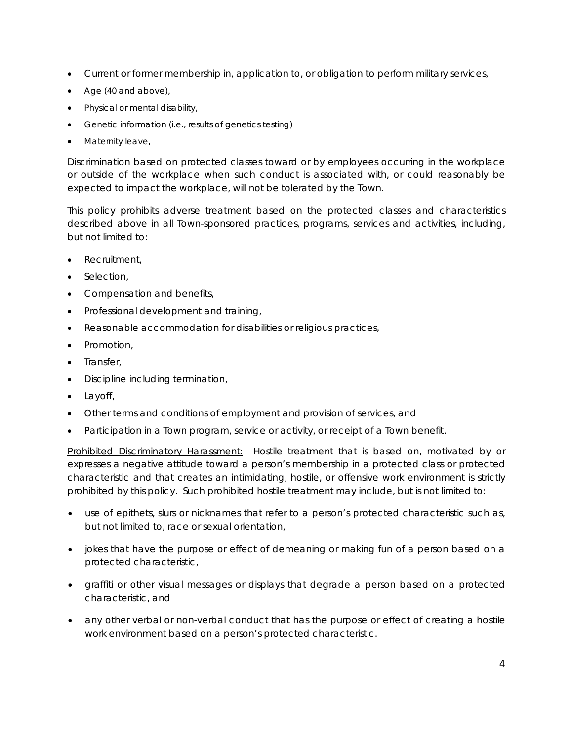- Current or former membership in, application to, or obligation to perform military services,
- Age (40 and above),
- Physical or mental disability,
- Genetic information (i.e., results of genetics testing)
- Maternity leave,

Discrimination based on protected classes toward or by employees occurring in the workplace or outside of the workplace when such conduct is associated with, or could reasonably be expected to impact the workplace, will not be tolerated by the Town.

This policy prohibits adverse treatment based on the protected classes and characteristics described above in all Town-sponsored practices, programs, services and activities, including, but not limited to:

- Recruitment,
- Selection,
- Compensation and benefits,
- Professional development and training,
- Reasonable accommodation for disabilities or religious practices,
- Promotion,
- Transfer,
- Discipline including termination,
- Layoff,
- Other terms and conditions of employment and provision of services, and
- Participation in a Town program, service or activity, or receipt of a Town benefit.

Prohibited Discriminatory Harassment:Hostile treatment that is based on, motivated by or expresses a negative attitude toward a person's membership in a protected class or protected characteristic and that creates an intimidating, hostile, or offensive work environment is strictly prohibited by this policy. Such prohibited hostile treatment may include, but is not limited to:

- use of epithets, slurs or nicknames that refer to a person's protected characteristic such as, but not limited to, race or sexual orientation,
- jokes that have the purpose or effect of demeaning or making fun of a person based on a protected characteristic,
- graffiti or other visual messages or displays that degrade a person based on a protected characteristic, and
- any other verbal or non-verbal conduct that has the purpose or effect of creating a hostile work environment based on a person's protected characteristic.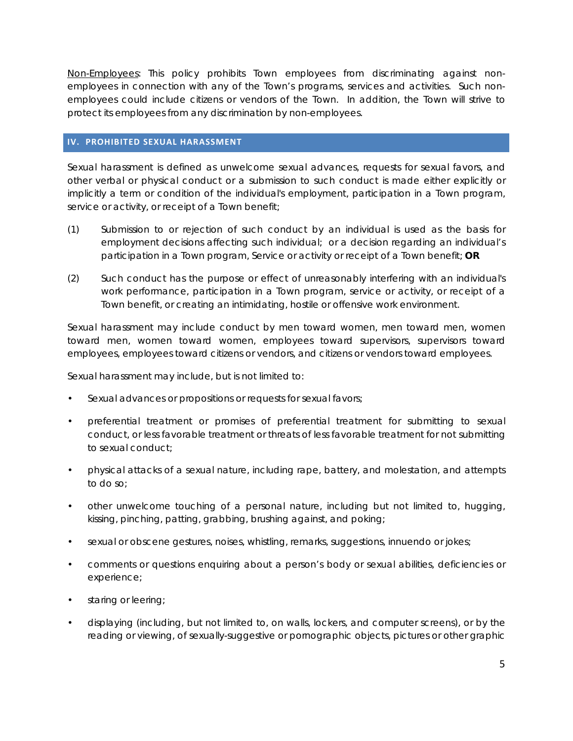Non-Employees: This policy prohibits Town employees from discriminating against nonemployees in connection with any of the Town's programs, services and activities. Such nonemployees could include citizens or vendors of the Town. In addition, the Town will strive to protect its employees from any discrimination by non-employees.

#### **IV. PROHIBITED SEXUAL HARASSMENT**

Sexual harassment is defined as unwelcome sexual advances, requests for sexual favors, and other verbal or physical conduct or a submission to such conduct is made either explicitly or implicitly a term or condition of the individual's employment, participation in a Town program, service or activity, or receipt of a Town benefit;

- (1) Submission to or rejection of such conduct by an individual is used as the basis for employment decisions affecting such individual; or a decision regarding an individual's participation in a Town program, Service or activity or receipt of a Town benefit; **OR**
- (2) Such conduct has the purpose or effect of unreasonably interfering with an individual's work performance, participation in a Town program, service or activity, or receipt of a Town benefit, or creating an intimidating, hostile or offensive work environment.

Sexual harassment may include conduct by men toward women, men toward men, women toward men, women toward women, employees toward supervisors, supervisors toward employees, employees toward citizens or vendors, and citizens or vendors toward employees.

Sexual harassment may include, but is not limited to:

- Sexual advances or propositions or requests for sexual favors;
- preferential treatment or promises of preferential treatment for submitting to sexual conduct, or less favorable treatment or threats of less favorable treatment for not submitting to sexual conduct;
- physical attacks of a sexual nature, including rape, battery, and molestation, and attempts to do so;
- other unwelcome touching of a personal nature, including but not limited to, hugging, kissing, pinching, patting, grabbing, brushing against, and poking;
- sexual or obscene gestures, noises, whistling, remarks, suggestions, innuendo or jokes;
- comments or questions enquiring about a person's body or sexual abilities, deficiencies or experience;
- staring or leering;
- displaying (including, but not limited to, on walls, lockers, and computer screens), or by the reading or viewing, of sexually-suggestive or pornographic objects, pictures or other graphic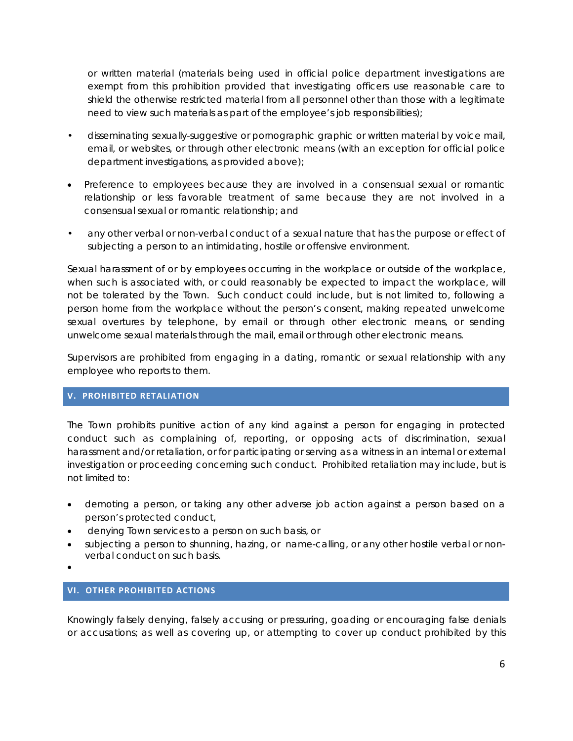or written material (materials being used in official police department investigations are exempt from this prohibition provided that investigating officers use reasonable care to shield the otherwise restricted material from all personnel other than those with a legitimate need to view such materials as part of the employee's job responsibilities);

- disseminating sexually-suggestive or pornographic graphic or written material by voice mail, email, or websites, or through other electronic means (with an exception for official police department investigations, as provided above);
- Preference to employees because they are involved in a consensual sexual or romantic relationship or less favorable treatment of same because they are not involved in a consensual sexual or romantic relationship; and
- any other verbal or non-verbal conduct of a sexual nature that has the purpose or effect of subjecting a person to an intimidating, hostile or offensive environment.

Sexual harassment of or by employees occurring in the workplace or outside of the workplace, when such is associated with, or could reasonably be expected to impact the workplace, will not be tolerated by the Town. Such conduct could include, but is not limited to, following a person home from the workplace without the person's consent, making repeated unwelcome sexual overtures by telephone, by email or through other electronic means, or sending unwelcome sexual materials through the mail, email or through other electronic means.

Supervisors are prohibited from engaging in a dating, romantic or sexual relationship with any employee who reports to them.

#### **V. PROHIBITED RETALIATION**

The Town prohibits punitive action of any kind against a person for engaging in protected conduct such as complaining of, reporting, or opposing acts of discrimination, sexual harassment and/or retaliation, or for participating or serving as a witness in an internal or external investigation or proceeding concerning such conduct. Prohibited retaliation may include, but is not limited to:

- demoting a person, or taking any other adverse job action against a person based on a person's protected conduct,
- denying Town services to a person on such basis, or
- subjecting a person to shunning, hazing, or name-calling, or any other hostile verbal or nonverbal conduct on such basis.
- $\bullet$

#### **VI. OTHER PROHIBITED ACTIONS**

Knowingly falsely denying, falsely accusing or pressuring, goading or encouraging false denials or accusations; as well as covering up, or attempting to cover up conduct prohibited by this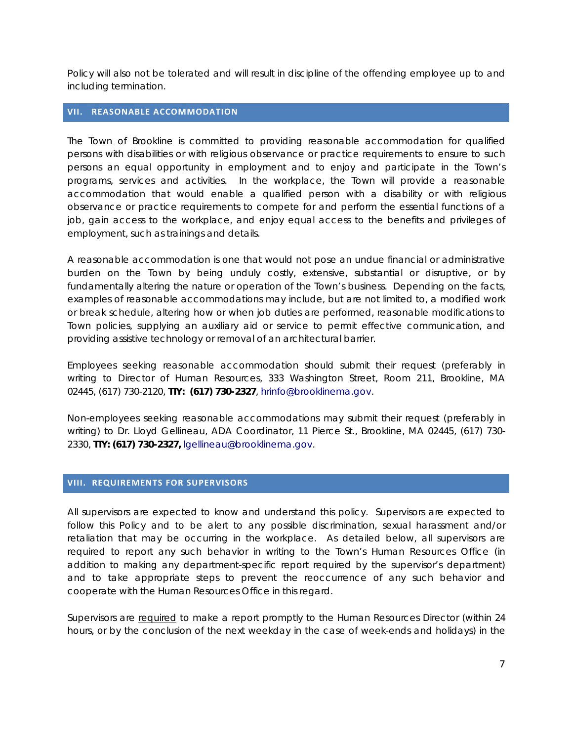Policy will also not be tolerated and will result in discipline of the offending employee up to and including termination.

#### **VII. REASONABLE ACCOMMODATION**

The Town of Brookline is committed to providing reasonable accommodation for qualified persons with disabilities or with religious observance or practice requirements to ensure to such persons an equal opportunity in employment and to enjoy and participate in the Town's programs, services and activities. In the workplace, the Town will provide a reasonable accommodation that would enable a qualified person with a disability or with religious observance or practice requirements to compete for and perform the essential functions of a job, gain access to the workplace, and enjoy equal access to the benefits and privileges of employment, such as trainings and details.

A reasonable accommodation is one that would not pose an undue financial or administrative burden on the Town by being unduly costly, extensive, substantial or disruptive, or by fundamentally altering the nature or operation of the Town's business. Depending on the facts, examples of reasonable accommodations may include, but are not limited to, a modified work or break schedule, altering how or when job duties are performed, reasonable modifications to Town policies, supplying an auxiliary aid or service to permit effective communication, and providing assistive technology or removal of an architectural barrier.

Employees seeking reasonable accommodation should submit their request (preferably in writing to Director of Human Resources, 333 Washington Street, Room 211, Brookline, MA 02445, (617) 730-2120, **TTY: (617) 730-2327**, hrinfo@brooklinema.gov.

Non-employees seeking reasonable accommodations may submit their request (preferably in writing) to Dr. Lloyd Gellineau, ADA Coordinator, 11 Pierce St., Brookline, MA 02445, (617) 730- 2330, **TTY: (617) 730-2327,** lgellineau@brooklinema.gov.

#### **VIII. REQUIREMENTS FOR SUPERVISORS**

All supervisors are expected to know and understand this policy. Supervisors are expected to follow this Policy and to be alert to any possible discrimination, sexual harassment and/or retaliation that may be occurring in the workplace. As detailed below, all supervisors are required to report any such behavior in writing to the Town's Human Resources Office (in addition to making any department-specific report required by the supervisor's department) and to take appropriate steps to prevent the reoccurrence of any such behavior and cooperate with the Human Resources Office in this regard.

Supervisors are required to make a report promptly to the Human Resources Director (within 24 hours, or by the conclusion of the next weekday in the case of week-ends and holidays) in the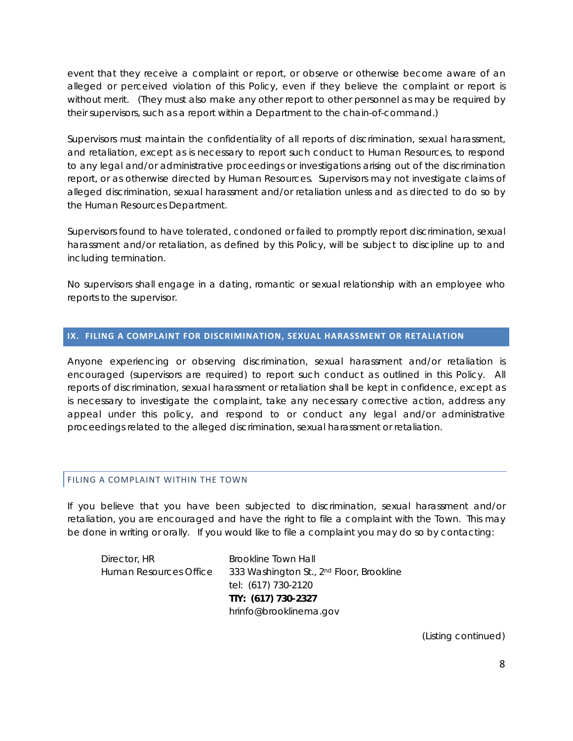event that they receive a complaint or report, or observe or otherwise become aware of an alleged or perceived violation of this Policy, even if they believe the complaint or report is without merit. (They must also make any other report to other personnel as may be required by their supervisors, such as a report within a Department to the chain-of-command.)

Supervisors must maintain the confidentiality of all reports of discrimination, sexual harassment, and retaliation, except as is necessary to report such conduct to Human Resources, to respond to any legal and/or administrative proceedings or investigations arising out of the discrimination report, or as otherwise directed by Human Resources. Supervisors may not investigate claims of alleged discrimination, sexual harassment and/or retaliation unless and as directed to do so by the Human Resources Department.

Supervisors found to have tolerated, condoned or failed to promptly report discrimination, sexual harassment and/or retaliation, as defined by this Policy, will be subject to discipline up to and including termination.

No supervisors shall engage in a dating, romantic or sexual relationship with an employee who reports to the supervisor.

#### **IX. FILING A COMPLAINT FOR DISCRIMINATION, SEXUAL HARASSMENT OR RETALIATION**

Anyone experiencing or observing discrimination, sexual harassment and/or retaliation is encouraged (supervisors are required) to report such conduct as outlined in this Policy. All reports of discrimination, sexual harassment or retaliation shall be kept in confidence, except as is necessary to investigate the complaint, take any necessary corrective action, address any appeal under this policy, and respond to or conduct any legal and/or administrative proceedings related to the alleged discrimination, sexual harassment or retaliation.

#### FILING A COMPLAINT WITHIN THE TOWN

If you believe that you have been subjected to discrimination, sexual harassment and/or retaliation, you are encouraged and have the right to file a complaint with the Town. This may be done in writing or orally. If you would like to file a complaint you may do so by contacting:

Director, HR Brookline Town Hall Human Resources Office 333 Washington St., 2nd Floor, Brookline tel: (617) 730-2120  **TTY: (617) 730-2327** hrinfo@brooklinema.gov

(Listing continued)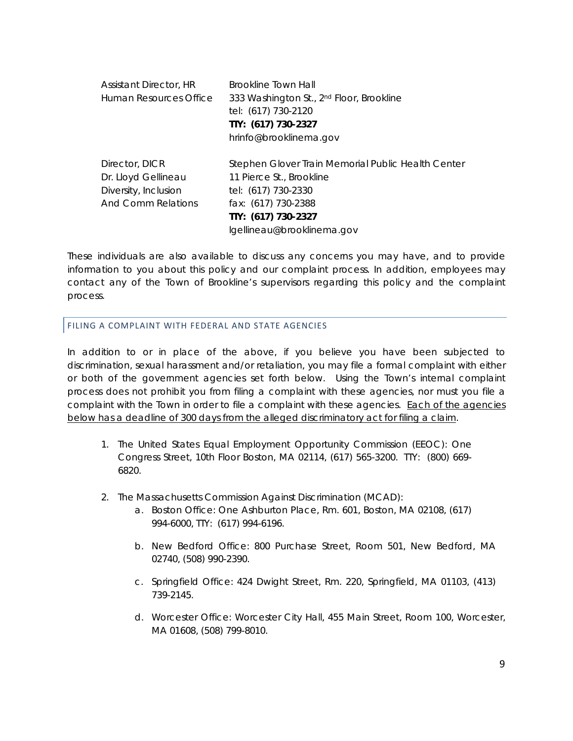| <b>Assistant Director, HR</b> | <b>Brookline Town Hall</b>                           |  |  |
|-------------------------------|------------------------------------------------------|--|--|
| Human Resources Office        | 333 Washington St., 2 <sup>nd</sup> Floor, Brookline |  |  |
|                               | tel: (617) 730-2120                                  |  |  |
|                               | TTY: (617) 730-2327                                  |  |  |
|                               | hrinfo@brooklinema.gov                               |  |  |
| Director, DICR                | Stephen Glover Train Memorial Public Health Center   |  |  |
| Dr. Lloyd Gellineau           | 11 Pierce St., Brookline                             |  |  |
| Diversity, Inclusion          | tel: (617) 730-2330                                  |  |  |
| And Comm Relations            | fax: (617) 730-2388                                  |  |  |
|                               | TTY: (617) 730-2327                                  |  |  |
|                               | lgellineau@brooklinema.gov                           |  |  |

These individuals are also available to discuss any concerns you may have, and to provide information to you about this policy and our complaint process. In addition, employees may contact any of the Town of Brookline's supervisors regarding this policy and the complaint process.

#### FILING A COMPLAINT WITH FEDERAL AND STATE AGENCIES

In addition to or in place of the above, if you believe you have been subjected to discrimination, sexual harassment and/or retaliation, you may file a formal complaint with either or both of the government agencies set forth below. Using the Town's internal complaint process does not prohibit you from filing a complaint with these agencies, nor must you file a complaint with the Town in order to file a complaint with these agencies. Each of the agencies below has a deadline of 300 days from the alleged discriminatory act for filing a claim.

- 1. The United States Equal Employment Opportunity Commission (EEOC): One Congress Street, 10th Floor Boston, MA 02114, (617) 565-3200. TTY: (800) 669- 6820.
- 2. The Massachusetts Commission Against Discrimination (MCAD):
	- a. Boston Office: One Ashburton Place, Rm. 601, Boston, MA 02108, (617) 994-6000, TTY: (617) 994-6196.
	- b. New Bedford Office: 800 Purchase Street, Room 501, New Bedford, MA 02740, (508) 990-2390.
	- c. Springfield Office: 424 Dwight Street, Rm. 220, Springfield, MA 01103, (413) 739-2145.
	- d. Worcester Office: Worcester City Hall, 455 Main Street, Room 100, Worcester, MA 01608, (508) 799-8010.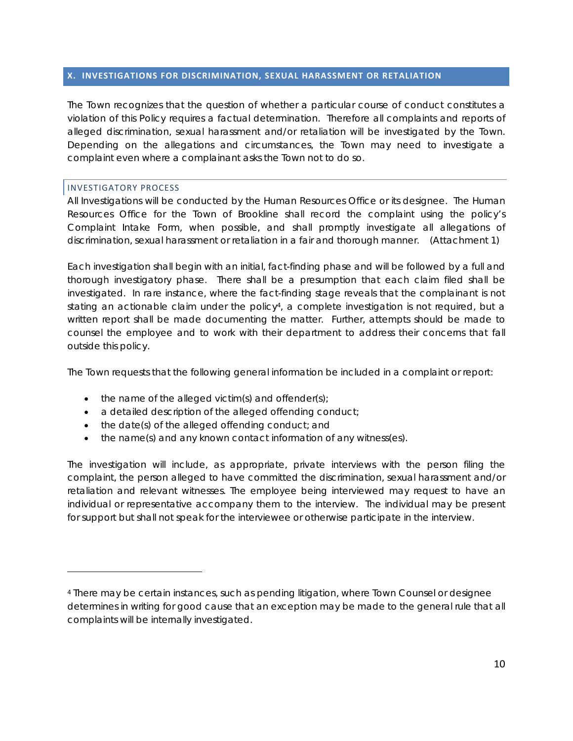#### **X. INVESTIGATIONS FOR DISCRIMINATION, SEXUAL HARASSMENT OR RETALIATION**

The Town recognizes that the question of whether a particular course of conduct constitutes a violation of this Policy requires a factual determination. Therefore all complaints and reports of alleged discrimination, sexual harassment and/or retaliation will be investigated by the Town. Depending on the allegations and circumstances, the Town may need to investigate a complaint even where a complainant asks the Town not to do so.

#### INVESTIGATORY PROCESS

All Investigations will be conducted by the Human Resources Office or its designee. The Human Resources Office for the Town of Brookline shall record the complaint using the policy's Complaint Intake Form, when possible, and shall promptly investigate all allegations of discrimination, sexual harassment or retaliation in a fair and thorough manner. (Attachment 1)

Each investigation shall begin with an initial, fact-finding phase and will be followed by a full and thorough investigatory phase. There shall be a presumption that each claim filed shall be investigated. In rare instance, where the fact-finding stage reveals that the complainant is not stating an actionable claim under the policy<sup>4</sup>, a complete investigation is not required, but a written report shall be made documenting the matter. Further, attempts should be made to counsel the employee and to work with their department to address their concerns that fall outside this policy.

The Town requests that the following general information be included in a complaint or report:

- $\bullet$  the name of the alleged victim(s) and offender(s);
- a detailed description of the alleged offending conduct;
- the date(s) of the alleged offending conduct; and
- the name(s) and any known contact information of any witness(es).

The investigation will include, as appropriate, private interviews with the person filing the complaint, the person alleged to have committed the discrimination, sexual harassment and/or retaliation and relevant witnesses. The employee being interviewed may request to have an individual or representative accompany them to the interview. The individual may be present for support but shall not speak for the interviewee or otherwise participate in the interview.

<sup>4</sup> There may be certain instances, such as pending litigation, where Town Counsel or designee determines in writing for good cause that an exception may be made to the general rule that all complaints will be internally investigated.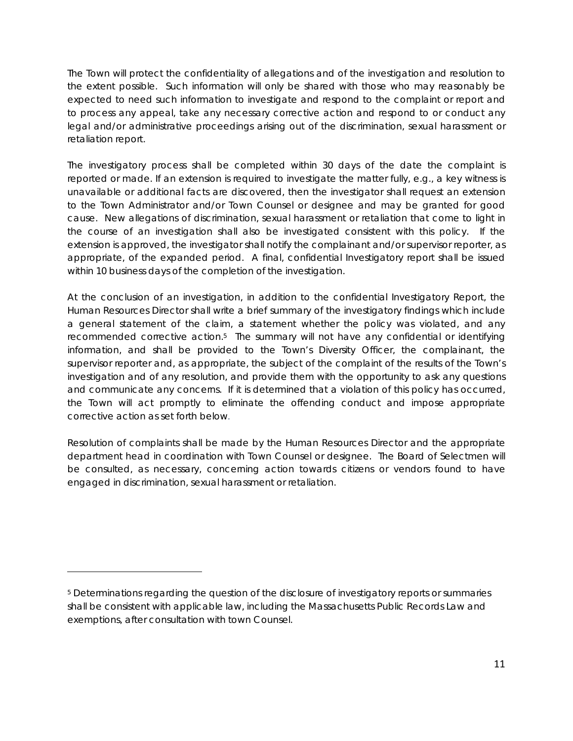The Town will protect the confidentiality of allegations and of the investigation and resolution to the extent possible. Such information will only be shared with those who may reasonably be expected to need such information to investigate and respond to the complaint or report and to process any appeal, take any necessary corrective action and respond to or conduct any legal and/or administrative proceedings arising out of the discrimination, sexual harassment or retaliation report.

The investigatory process shall be completed within 30 days of the date the complaint is reported or made. If an extension is required to investigate the matter fully, e.g., a key witness is unavailable or additional facts are discovered, then the investigator shall request an extension to the Town Administrator and/or Town Counsel or designee and may be granted for good cause. New allegations of discrimination, sexual harassment or retaliation that come to light in the course of an investigation shall also be investigated consistent with this policy. If the extension is approved, the investigator shall notify the complainant and/or supervisor reporter, as appropriate, of the expanded period. A final, confidential Investigatory report shall be issued within 10 business days of the completion of the investigation.

At the conclusion of an investigation, in addition to the confidential Investigatory Report, the Human Resources Director shall write a brief summary of the investigatory findings which include a general statement of the claim, a statement whether the policy was violated, and any recommended corrective action.<sup>5</sup> The summary will not have any confidential or identifying information, and shall be provided to the Town's Diversity Officer, the complainant, the supervisor reporter and, as appropriate, the subject of the complaint of the results of the Town's investigation and of any resolution, and provide them with the opportunity to ask any questions and communicate any concerns. If it is determined that a violation of this policy has occurred, the Town will act promptly to eliminate the offending conduct and impose appropriate corrective action as set forth below.

Resolution of complaints shall be made by the Human Resources Director and the appropriate department head in coordination with Town Counsel or designee. The Board of Selectmen will be consulted, as necessary, concerning action towards citizens or vendors found to have engaged in discrimination, sexual harassment or retaliation.

<sup>5</sup> Determinations regarding the question of the disclosure of investigatory reports or summaries shall be consistent with applicable law, including the Massachusetts Public Records Law and exemptions, after consultation with town Counsel.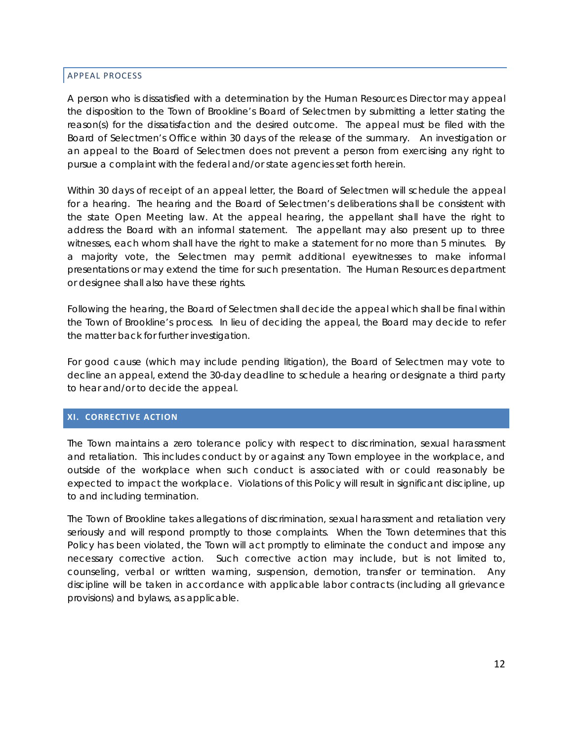#### APPEAL PROCESS

A person who is dissatisfied with a determination by the Human Resources Director may appeal the disposition to the Town of Brookline's Board of Selectmen by submitting a letter stating the reason(s) for the dissatisfaction and the desired outcome. The appeal must be filed with the Board of Selectmen's Office within 30 days of the release of the summary. An investigation or an appeal to the Board of Selectmen does not prevent a person from exercising any right to pursue a complaint with the federal and/or state agencies set forth herein.

Within 30 days of receipt of an appeal letter, the Board of Selectmen will schedule the appeal for a hearing. The hearing and the Board of Selectmen's deliberations shall be consistent with the state Open Meeting law. At the appeal hearing, the appellant shall have the right to address the Board with an informal statement. The appellant may also present up to three witnesses, each whom shall have the right to make a statement for no more than 5 minutes. By a majority vote, the Selectmen may permit additional eyewitnesses to make informal presentations or may extend the time for such presentation. The Human Resources department or designee shall also have these rights.

Following the hearing, the Board of Selectmen shall decide the appeal which shall be final within the Town of Brookline's process. In lieu of deciding the appeal, the Board may decide to refer the matter back for further investigation.

For good cause (which may include pending litigation), the Board of Selectmen may vote to decline an appeal, extend the 30-day deadline to schedule a hearing or designate a third party to hear and/or to decide the appeal.

#### **XI. CORRECTIVE ACTION**

The Town maintains a zero tolerance policy with respect to discrimination, sexual harassment and retaliation. This includes conduct by or against any Town employee in the workplace, and outside of the workplace when such conduct is associated with or could reasonably be expected to impact the workplace. Violations of this Policy will result in significant discipline, up to and including termination.

The Town of Brookline takes allegations of discrimination, sexual harassment and retaliation very seriously and will respond promptly to those complaints. When the Town determines that this Policy has been violated, the Town will act promptly to eliminate the conduct and impose any necessary corrective action. Such corrective action may include, but is not limited to, counseling, verbal or written warning, suspension, demotion, transfer or termination. Any discipline will be taken in accordance with applicable labor contracts (including all grievance provisions) and bylaws, as applicable.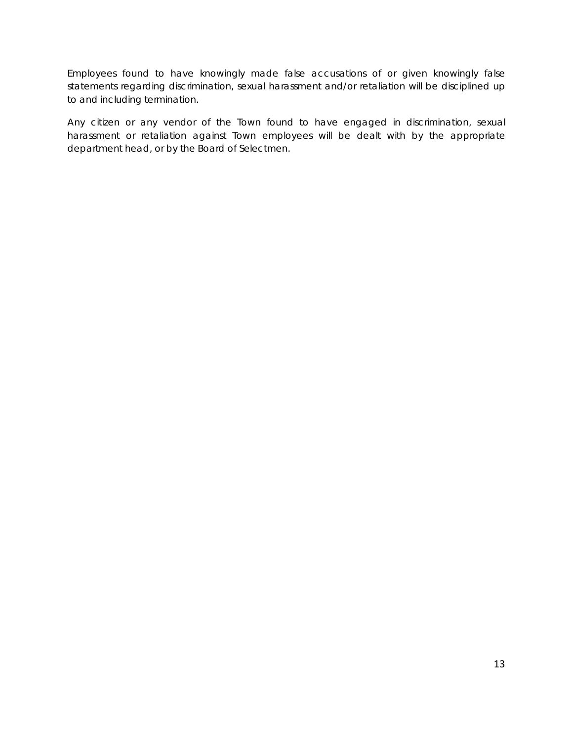Employees found to have knowingly made false accusations of or given knowingly false statements regarding discrimination, sexual harassment and/or retaliation will be disciplined up to and including termination.

Any citizen or any vendor of the Town found to have engaged in discrimination, sexual harassment or retaliation against Town employees will be dealt with by the appropriate department head, or by the Board of Selectmen.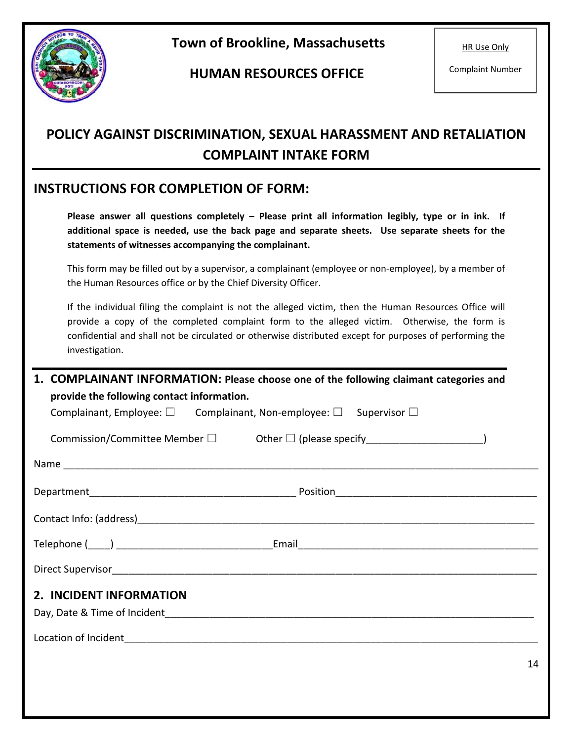

 **Town of Brookline, Massachusetts** 

 **HUMAN RESOURCES OFFICE** 

HR Use Only

Complaint Number

## **POLICY AGAINST DISCRIMINATION, SEXUAL HARASSMENT AND RETALIATION COMPLAINT INTAKE FORM**

## **INSTRUCTIONS FOR COMPLETION OF FORM:**

Please answer all questions completely - Please print all information legibly, type or in ink. If **additional space is needed, use the back page and separate sheets. Use separate sheets for the statements of witnesses accompanying the complainant.** 

This form may be filled out by a supervisor, a complainant (employee or non‐employee), by a member of the Human Resources office or by the Chief Diversity Officer.

If the individual filing the complaint is not the alleged victim, then the Human Resources Office will provide a copy of the completed complaint form to the alleged victim. Otherwise, the form is confidential and shall not be circulated or otherwise distributed except for purposes of performing the investigation.

| <b>COMPLAINANT INFORMATION: Please choose one of the following claimant categories and</b><br>1.<br>provide the following contact information. |  |  |  |  |
|------------------------------------------------------------------------------------------------------------------------------------------------|--|--|--|--|
| Complainant, Employee: $\square$ Complainant, Non-employee: $\square$ Supervisor $\square$                                                     |  |  |  |  |
| Commission/Committee Member $\square$ Other $\square$ (please specify _______________________)                                                 |  |  |  |  |
|                                                                                                                                                |  |  |  |  |
|                                                                                                                                                |  |  |  |  |
|                                                                                                                                                |  |  |  |  |
|                                                                                                                                                |  |  |  |  |
|                                                                                                                                                |  |  |  |  |
| 2. INCIDENT INFORMATION                                                                                                                        |  |  |  |  |
|                                                                                                                                                |  |  |  |  |
|                                                                                                                                                |  |  |  |  |
| 14                                                                                                                                             |  |  |  |  |
|                                                                                                                                                |  |  |  |  |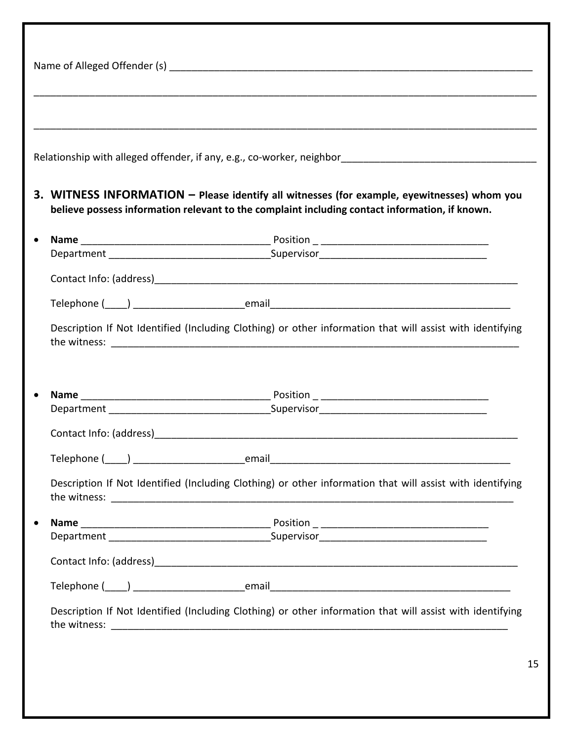| Relationship with alleged offender, if any, e.g., co-worker, neighbor<br>and the management contains and the management contained the management of the management of the management o        |
|-----------------------------------------------------------------------------------------------------------------------------------------------------------------------------------------------|
| 3. WITNESS INFORMATION - Please identify all witnesses (for example, eyewitnesses) whom you<br>believe possess information relevant to the complaint including contact information, if known. |
|                                                                                                                                                                                               |
|                                                                                                                                                                                               |
|                                                                                                                                                                                               |
|                                                                                                                                                                                               |
|                                                                                                                                                                                               |
|                                                                                                                                                                                               |
|                                                                                                                                                                                               |
|                                                                                                                                                                                               |
| Description If Not Identified (Including Clothing) or other information that will assist with identifying                                                                                     |
|                                                                                                                                                                                               |
|                                                                                                                                                                                               |
|                                                                                                                                                                                               |
|                                                                                                                                                                                               |
|                                                                                                                                                                                               |
| Description If Not Identified (Including Clothing) or other information that will assist with identifying                                                                                     |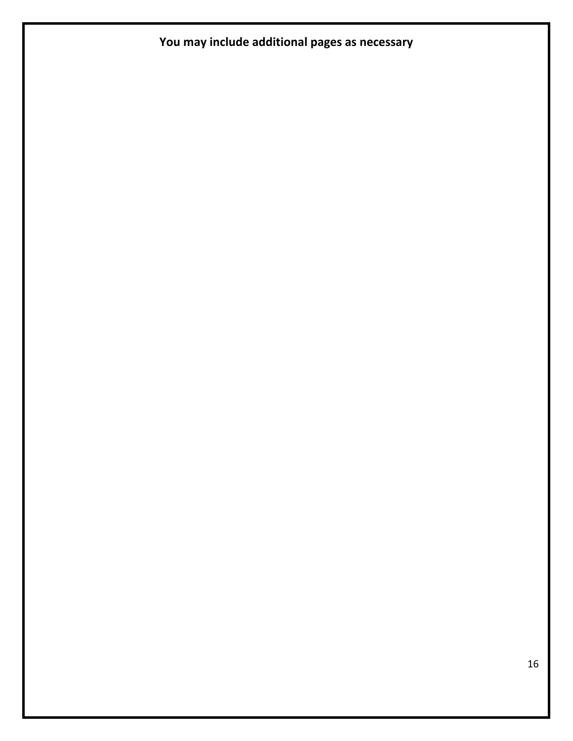## **You may include additional pages as necessary**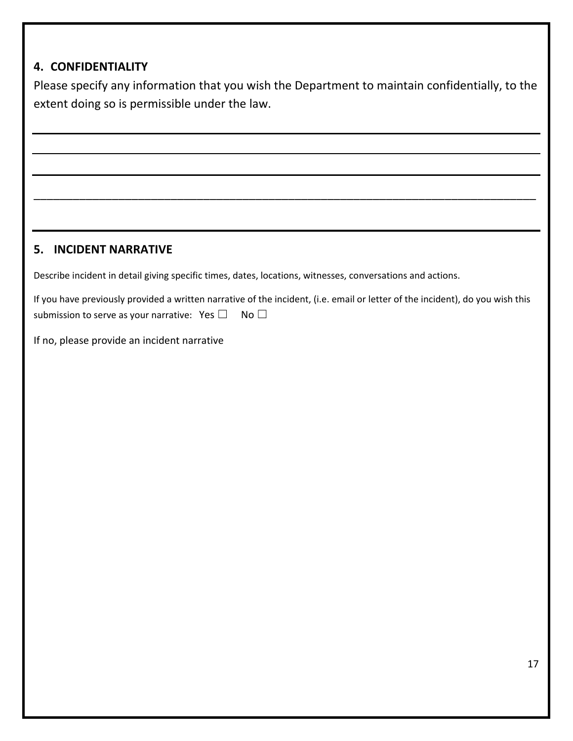### **4. CONFIDENTIALITY**

Please specify any information that you wish the Department to maintain confidentially, to the extent doing so is permissible under the law.

\_\_\_\_\_\_\_\_\_\_\_\_\_\_\_\_\_\_\_\_\_\_\_\_\_\_\_\_\_\_\_\_\_\_\_\_\_\_\_\_\_\_\_\_\_\_\_\_\_\_\_\_\_\_\_\_\_\_\_\_\_\_\_\_\_\_\_\_\_\_\_\_\_\_\_\_\_

### **5. INCIDENT NARRATIVE**

Describe incident in detail giving specific times, dates, locations, witnesses, conversations and actions.

|                                                      | If you have previously provided a written narrative of the incident, (i.e. email or letter of the incident), do you wish this |
|------------------------------------------------------|-------------------------------------------------------------------------------------------------------------------------------|
| submission to serve as your narrative: Yes $\square$ | No II                                                                                                                         |

If no, please provide an incident narrative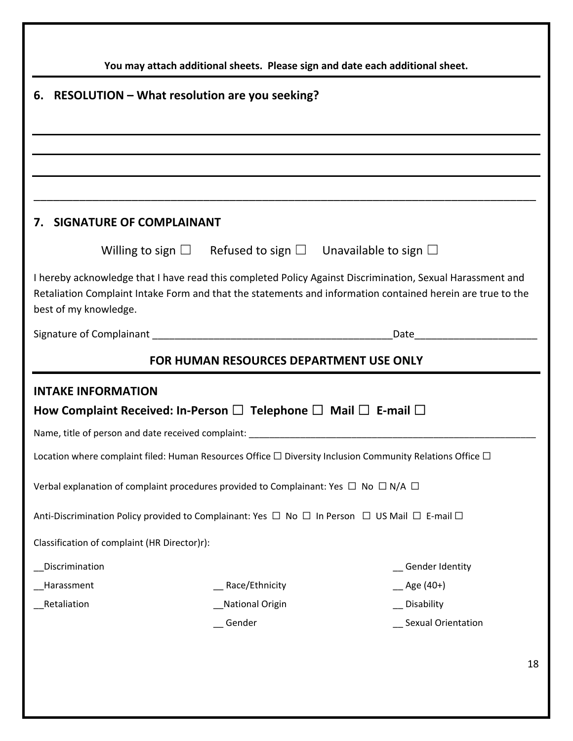| You may attach additional sheets. Please sign and date each additional sheet.                                                                                                                                                                    |                   |                                                                                   |  |  |
|--------------------------------------------------------------------------------------------------------------------------------------------------------------------------------------------------------------------------------------------------|-------------------|-----------------------------------------------------------------------------------|--|--|
| RESOLUTION – What resolution are you seeking?<br>6.                                                                                                                                                                                              |                   |                                                                                   |  |  |
|                                                                                                                                                                                                                                                  |                   |                                                                                   |  |  |
|                                                                                                                                                                                                                                                  |                   |                                                                                   |  |  |
|                                                                                                                                                                                                                                                  |                   |                                                                                   |  |  |
|                                                                                                                                                                                                                                                  |                   |                                                                                   |  |  |
| SIGNATURE OF COMPLAINANT<br>7.                                                                                                                                                                                                                   |                   |                                                                                   |  |  |
|                                                                                                                                                                                                                                                  |                   | Willing to sign $\square$ Refused to sign $\square$ Unavailable to sign $\square$ |  |  |
| I hereby acknowledge that I have read this completed Policy Against Discrimination, Sexual Harassment and<br>Retaliation Complaint Intake Form and that the statements and information contained herein are true to the<br>best of my knowledge. |                   |                                                                                   |  |  |
|                                                                                                                                                                                                                                                  |                   | Date <b>Date</b>                                                                  |  |  |
| FOR HUMAN RESOURCES DEPARTMENT USE ONLY                                                                                                                                                                                                          |                   |                                                                                   |  |  |
| <b>INTAKE INFORMATION</b>                                                                                                                                                                                                                        |                   |                                                                                   |  |  |
| How Complaint Received: In-Person $\square$ Telephone $\square$ Mail $\square$ E-mail $\square$                                                                                                                                                  |                   |                                                                                   |  |  |
|                                                                                                                                                                                                                                                  |                   |                                                                                   |  |  |
| Location where complaint filed: Human Resources Office $\Box$ Diversity Inclusion Community Relations Office $\Box$                                                                                                                              |                   |                                                                                   |  |  |
| Verbal explanation of complaint procedures provided to Complainant: Yes $\Box$ No $\Box$ N/A $\Box$                                                                                                                                              |                   |                                                                                   |  |  |
| Anti-Discrimination Policy provided to Complainant: Yes $\Box$ No $\Box$ In Person $\Box$ US Mail $\Box$ E-mail $\Box$                                                                                                                           |                   |                                                                                   |  |  |
| Classification of complaint (HR Director)r):                                                                                                                                                                                                     |                   |                                                                                   |  |  |
| _Discrimination                                                                                                                                                                                                                                  |                   | _ Gender Identity                                                                 |  |  |
| Harassment                                                                                                                                                                                                                                       | __ Race/Ethnicity | $\_\$ Age (40+)                                                                   |  |  |
| _Retaliation                                                                                                                                                                                                                                     | National Origin   | __ Disability                                                                     |  |  |
|                                                                                                                                                                                                                                                  | _Gender           | _ Sexual Orientation                                                              |  |  |
|                                                                                                                                                                                                                                                  |                   |                                                                                   |  |  |